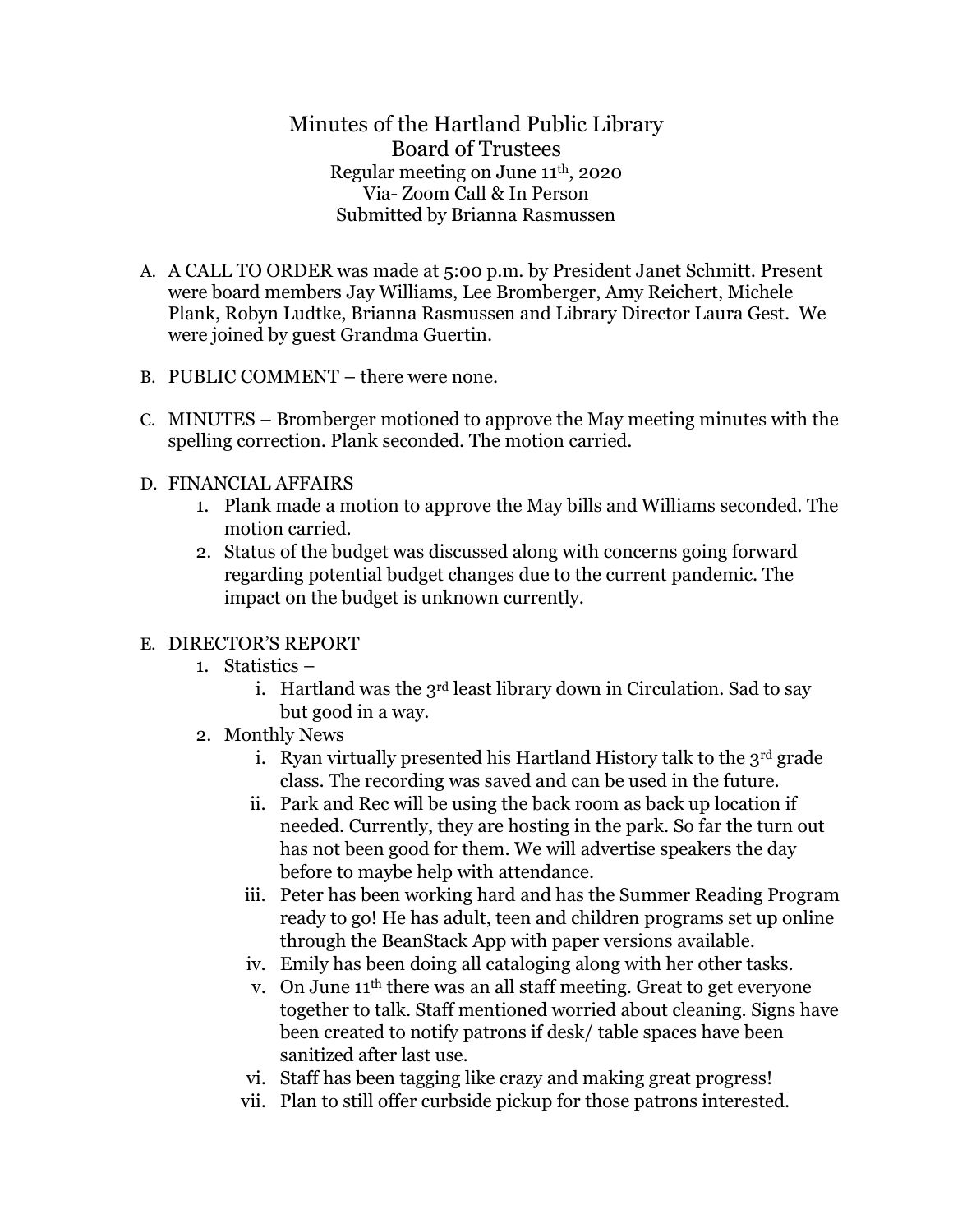Minutes of the Hartland Public Library Board of Trustees Regular meeting on June 11th, 2020 Via- Zoom Call & In Person Submitted by Brianna Rasmussen

- A. A CALL TO ORDER was made at 5:00 p.m. by President Janet Schmitt. Present were board members Jay Williams, Lee Bromberger, Amy Reichert, Michele Plank, Robyn Ludtke, Brianna Rasmussen and Library Director Laura Gest. We were joined by guest Grandma Guertin.
- B. PUBLIC COMMENT there were none.
- C. MINUTES Bromberger motioned to approve the May meeting minutes with the spelling correction. Plank seconded. The motion carried.
- D. FINANCIAL AFFAIRS
	- 1. Plank made a motion to approve the May bills and Williams seconded. The motion carried.
	- 2. Status of the budget was discussed along with concerns going forward regarding potential budget changes due to the current pandemic. The impact on the budget is unknown currently.

## E. DIRECTOR'S REPORT

- 1. Statistics
	- i. Hartland was the 3<sup>rd</sup> least library down in Circulation. Sad to say but good in a way.
- 2. Monthly News
	- i. Ryan virtually presented his Hartland History talk to the  $3<sup>rd</sup>$  grade class. The recording was saved and can be used in the future.
	- ii. Park and Rec will be using the back room as back up location if needed. Currently, they are hosting in the park. So far the turn out has not been good for them. We will advertise speakers the day before to maybe help with attendance.
	- iii. Peter has been working hard and has the Summer Reading Program ready to go! He has adult, teen and children programs set up online through the BeanStack App with paper versions available.
	- iv. Emily has been doing all cataloging along with her other tasks.
	- v. On June 11th there was an all staff meeting. Great to get everyone together to talk. Staff mentioned worried about cleaning. Signs have been created to notify patrons if desk/ table spaces have been sanitized after last use.
	- vi. Staff has been tagging like crazy and making great progress!
	- vii. Plan to still offer curbside pickup for those patrons interested.